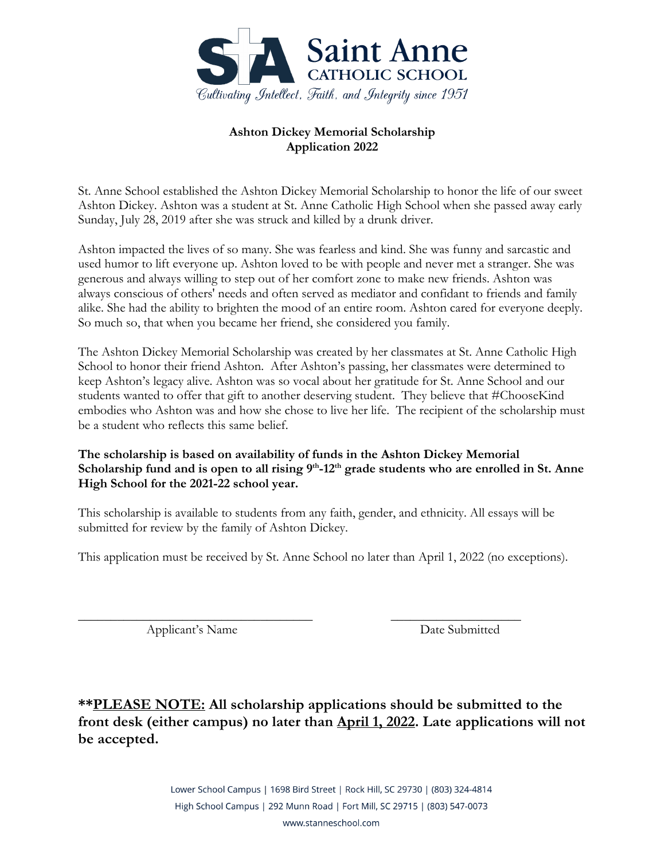

## **Ashton Dickey Memorial Scholarship Application 2022**

St. Anne School established the Ashton Dickey Memorial Scholarship to honor the life of our sweet Ashton Dickey. Ashton was a student at St. Anne Catholic High School when she passed away early Sunday, July 28, 2019 after she was struck and killed by a drunk driver.

Ashton impacted the lives of so many. She was fearless and kind. She was funny and sarcastic and used humor to lift everyone up. Ashton loved to be with people and never met a stranger. She was generous and always willing to step out of her comfort zone to make new friends. Ashton was always conscious of others' needs and often served as mediator and confidant to friends and family alike. She had the ability to brighten the mood of an entire room. Ashton cared for everyone deeply. So much so, that when you became her friend, she considered you family.

The Ashton Dickey Memorial Scholarship was created by her classmates at St. Anne Catholic High School to honor their friend Ashton. After Ashton's passing, her classmates were determined to keep Ashton's legacy alive. Ashton was so vocal about her gratitude for St. Anne School and our students wanted to offer that gift to another deserving student. They believe that #ChooseKind embodies who Ashton was and how she chose to live her life. The recipient of the scholarship must be a student who reflects this same belief.

## **The scholarship is based on availability of funds in the Ashton Dickey Memorial**  Scholarship fund and is open to all rising 9<sup>th</sup>-12<sup>th</sup> grade students who are enrolled in St. Anne **High School for the 2021-22 school year.**

This scholarship is available to students from any faith, gender, and ethnicity. All essays will be submitted for review by the family of Ashton Dickey.

This application must be received by St. Anne School no later than April 1, 2022 (no exceptions).

 $\overline{\phantom{a}}$  , and the contract of the contract of the contract of the contract of the contract of the contract of the contract of the contract of the contract of the contract of the contract of the contract of the contrac Applicant's Name Date Submitted

**\*\*PLEASE NOTE: All scholarship applications should be submitted to the front desk (either campus) no later than April 1, 2022. Late applications will not be accepted.** 

> Lower School Campus | 1698 Bird Street | Rock Hill, SC 29730 | (803) 324-4814 High School Campus | 292 Munn Road | Fort Mill, SC 29715 | (803) 547-0073 www.stanneschool.com